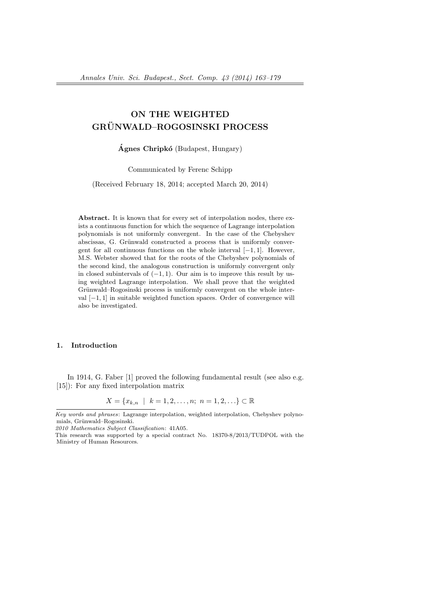# ON THE WEIGHTED GRUNWALD–ROGOSINSKI PROCESS ¨

 $\acute{A}$ gnes Chripkó (Budapest, Hungary)

Communicated by Ferenc Schipp

(Received February 18, 2014; accepted March 20, 2014)

Abstract. It is known that for every set of interpolation nodes, there exists a continuous function for which the sequence of Lagrange interpolation polynomials is not uniformly convergent. In the case of the Chebyshev abscissas, G. Grünwald constructed a process that is uniformly convergent for all continuous functions on the whole interval [−1, 1]. However, M.S. Webster showed that for the roots of the Chebyshev polynomials of the second kind, the analogous construction is uniformly convergent only in closed subintervals of  $(-1, 1)$ . Our aim is to improve this result by using weighted Lagrange interpolation. We shall prove that the weighted Grünwald–Rogosinski process is uniformly convergent on the whole interval [−1, 1] in suitable weighted function spaces. Order of convergence will also be investigated.

### 1. Introduction

In 1914, G. Faber [1] proved the following fundamental result (see also e.g. [15]): For any fixed interpolation matrix

$$
X = \{x_{k,n} \mid k = 1, 2, \dots, n; n = 1, 2, \dots\} \subset \mathbb{R}
$$

Key words and phrases: Lagrange interpolation, weighted interpolation, Chebyshev polynomials, Grünwald–Rogosinski.

<sup>2010</sup> Mathematics Subject Classification: 41A05.

This research was supported by a special contract No. 18370-8/2013/TUDPOL with the Ministry of Human Resources.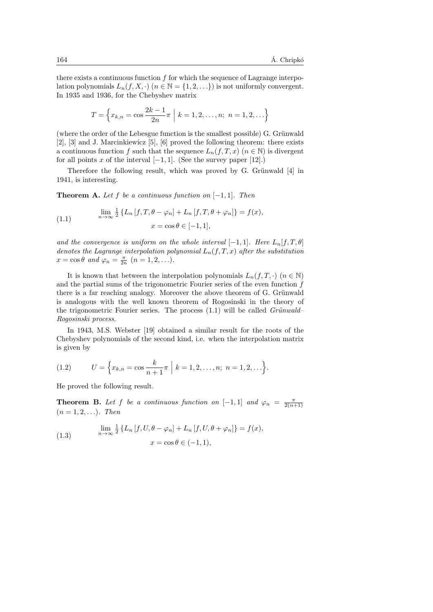there exists a continuous function  $f$  for which the sequence of Lagrange interpolation polynomials  $L_n(f, X, \cdot)$   $(n \in \mathbb{N} = \{1, 2, \ldots\})$  is not uniformly convergent. In 1935 and 1936, for the Chebyshev matrix

$$
T = \left\{ x_{k,n} = \cos \frac{2k-1}{2n} \pi \middle| k = 1, 2, \dots, n; n = 1, 2, \dots \right\}
$$

(where the order of the Lebesgue function is the smallest possible)  $G$ . Grünwald [2], [3] and J. Marcinkiewicz [5], [6] proved the following theorem: there exists a continuous function f such that the sequence  $L_n(f,T,x)$   $(n \in \mathbb{N})$  is divergent for all points x of the interval  $[-1, 1]$ . (See the survey paper [12].)

Therefore the following result, which was proved by G. Grünwald [4] in 1941, is interesting.

**Theorem A.** Let f be a continuous function on  $[-1, 1]$ . Then

(1.1) 
$$
\lim_{n \to \infty} \frac{1}{2} \{ L_n [f, T, \theta - \varphi_n] + L_n [f, T, \theta + \varphi_n] \} = f(x),
$$

$$
x = \cos \theta \in [-1, 1],
$$

and the convergence is uniform on the whole interval  $[-1, 1]$ . Here  $L_n[f, T, \theta]$ denotes the Lagrange interpolation polynomial  $L_n(f,T,x)$  after the substitution  $x = \cos \theta$  and  $\varphi_n = \frac{\pi}{2n}$   $(n = 1, 2, \ldots).$ 

It is known that between the interpolation polynomials  $L_n(f,T,\cdot)$   $(n \in \mathbb{N})$ and the partial sums of the trigonometric Fourier series of the even function  $f$ there is a far reaching analogy. Moreover the above theorem of G. Grünwald is analogous with the well known theorem of Rogosinski in the theory of the trigonometric Fourier series. The process  $(1.1)$  will be called *Grünwald*– Rogosinski process.

In 1943, M.S. Webster [19] obtained a similar result for the roots of the Chebyshev polynomials of the second kind, i.e. when the interpolation matrix is given by

(1.2) 
$$
U = \left\{ x_{k,n} = \cos \frac{k}{n+1} \pi \mid k = 1, 2, ..., n; n = 1, 2, ... \right\}.
$$

He proved the following result.

**Theorem B.** Let f be a continuous function on [-1,1] and  $\varphi_n = \frac{\pi}{2(n+1)}$  $(n = 1, 2, ...)$ . Then

(1.3) 
$$
\lim_{n \to \infty} \frac{1}{2} \left\{ L_n \left[ f, U, \theta - \varphi_n \right] + L_n \left[ f, U, \theta + \varphi_n \right] \right\} = f(x),
$$

$$
x = \cos \theta \in (-1, 1),
$$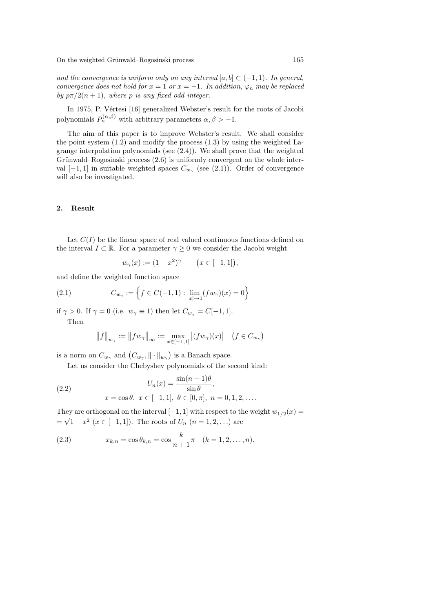and the convergence is uniform only on any interval  $[a, b] \subset (-1, 1)$ . In general, convergence does not hold for  $x = 1$  or  $x = -1$ . In addition,  $\varphi_n$  may be replaced by  $p\pi/2(n+1)$ , where p is any fixed odd integer.

In 1975, P. Vértesi [16] generalized Webster's result for the roots of Jacobi polynomials  $P_n^{(\alpha,\beta)}$  with arbitrary parameters  $\alpha, \beta > -1$ .

The aim of this paper is to improve Webster's result. We shall consider the point system  $(1.2)$  and modify the process  $(1.3)$  by using the weighted Lagrange interpolation polynomials (see (2.4)). We shall prove that the weighted Grünwald–Rogosinski process  $(2.6)$  is uniformly convergent on the whole interval  $[-1,1]$  in suitable weighted spaces  $C_{w_{\gamma}}$  (see (2.1)). Order of convergence will also be investigated.

#### 2. Result

Let  $C(I)$  be the linear space of real valued continuous functions defined on the interval  $I \subset \mathbb{R}$ . For a parameter  $\gamma \geq 0$  we consider the Jacobi weight

$$
w_{\gamma}(x) := (1 - x^2)^{\gamma} \qquad (x \in [-1, 1]),
$$

and define the weighted function space

(2.1) 
$$
C_{w_{\gamma}} := \left\{ f \in C(-1, 1) : \lim_{|x| \to 1} (fw_{\gamma})(x) = 0 \right\}
$$

if  $\gamma > 0$ . If  $\gamma = 0$  (i.e.  $w_{\gamma} \equiv 1$ ) then let  $C_{w_{\gamma}} = C[-1, 1]$ .

Then

$$
||f||_{w_{\gamma}} := ||fw_{\gamma}||_{\infty} := \max_{x \in [-1,1]} |(fw_{\gamma})(x)| \quad (f \in C_{w_{\gamma}})
$$

is a norm on  $C_{w_{\gamma}}$  and  $(C_{w_{\gamma}}, \|\cdot\|_{w_{\gamma}})$  is a Banach space.

Let us consider the Chebyshev polynomials of the second kind:

(2.2) 
$$
U_n(x) = \frac{\sin(n+1)\theta}{\sin \theta},
$$

$$
x = \cos \theta, \ x \in [-1, 1], \ \theta \in [0, \pi], \ n = 0, 1, 2, \dots.
$$

They are orthogonal on the interval  $[-1, 1]$  with respect to the weight  $w_{1/2}(x) =$  $=\sqrt{1-x^2}$   $(x \in [-1,1])$ . The roots of  $U_n$   $(n = 1,2,...)$  are

(2.3) 
$$
x_{k,n} = \cos \theta_{k,n} = \cos \frac{k}{n+1} \pi \quad (k = 1, 2, \dots, n).
$$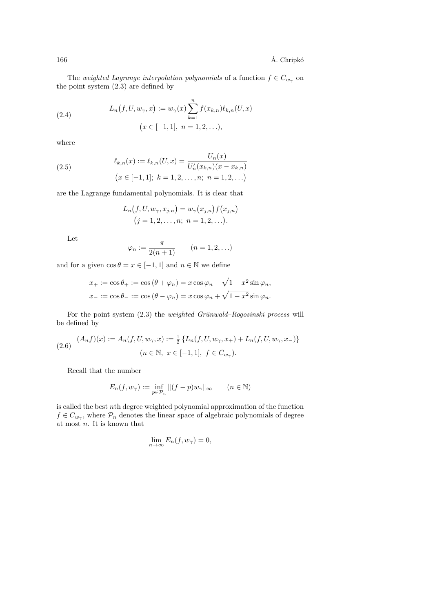The weighted Lagrange interpolation polynomials of a function  $f \in C_{w_{\gamma}}$  on the point system (2.3) are defined by

(2.4) 
$$
L_n(f, U, w_\gamma, x) := w_\gamma(x) \sum_{k=1}^n f(x_{k,n}) \ell_{k,n}(U, x)
$$

$$
(x \in [-1, 1], n = 1, 2, ...),
$$

where

(2.5) 
$$
\ell_{k,n}(x) := \ell_{k,n}(U,x) = \frac{U_n(x)}{U'_n(x_{k,n})(x - x_{k,n})}
$$

$$
(x \in [-1,1]; k = 1,2,\ldots,n; n = 1,2,\ldots)
$$

are the Lagrange fundamental polynomials. It is clear that

$$
L_n(f, U, w_{\gamma}, x_{j,n}) = w_{\gamma}(x_{j,n}) f(x_{j,n})
$$
  
(j = 1, 2, ..., n; n = 1, 2, ...).

Let

$$
\varphi_n := \frac{\pi}{2(n+1)} \qquad (n = 1, 2, \ldots)
$$

and for a given  $\cos \theta = x \in [-1, 1]$  and  $n \in \mathbb{N}$  we define

$$
x_+ := \cos \theta_+ := \cos (\theta + \varphi_n) = x \cos \varphi_n - \sqrt{1 - x^2} \sin \varphi_n,
$$
  

$$
x_- := \cos \theta_- := \cos (\theta - \varphi_n) = x \cos \varphi_n + \sqrt{1 - x^2} \sin \varphi_n.
$$

For the point system  $(2.3)$  the *weighted Grünwald–Rogosinski process* will be defined by

$$
(2.6) \quad (A_n f)(x) := A_n(f, U, w_\gamma, x) := \frac{1}{2} \{ L_n(f, U, w_\gamma, x_+) + L_n(f, U, w_\gamma, x_-) \}
$$
\n
$$
(n \in \mathbb{N}, \ x \in [-1, 1], \ f \in C_{w_\gamma}).
$$

Recall that the number

$$
E_n(f, w_\gamma) := \inf_{p \in \mathcal{P}_n} \|(f - p)w_\gamma\|_\infty \qquad (n \in \mathbb{N})
$$

is called the best nth degree weighted polynomial approximation of the function  $f \in C_{w_{\gamma}}$ , where  $\mathcal{P}_n$  denotes the linear space of algebraic polynomials of degree at most n. It is known that

$$
\lim_{n \to \infty} E_n(f, w_\gamma) = 0,
$$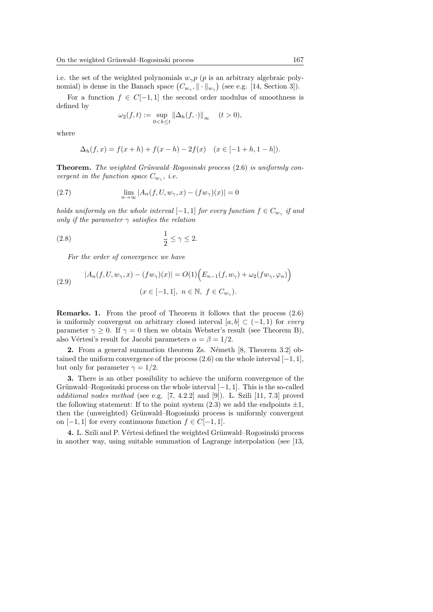i.e. the set of the weighted polynomials  $w_{\gamma}p$  (p is an arbitrary algebraic polynomial) is dense in the Banach space  $(C_{w_{\gamma}}, \|\cdot\|_{w_{\gamma}})$  (see e.g. [14, Section 3]).

For a function  $f \in C[-1,1]$  the second order modulus of smoothness is defined by

$$
\omega_2(f, t) := \sup_{0 < h \le t} \|\Delta_h(f, \cdot)\|_{\infty} \quad (t > 0),
$$

where

$$
\Delta_h(f, x) = f(x + h) + f(x - h) - 2f(x) \quad (x \in [-1 + h, 1 - h]).
$$

**Theorem.** The weighted Grünwald–Rogosinski process  $(2.6)$  is uniformly convergent in the function space  $C_{w_{\gamma}}$ , i.e.

(2.7) 
$$
\lim_{n \to \infty} |A_n(f, U, w_\gamma, x) - (fw_\gamma)(x)| = 0
$$

holds uniformly on the whole interval  $[-1,1]$  for every function  $f \in C_{w_{\gamma}}$  if and only if the parameter  $\gamma$  satisfies the relation

$$
\frac{1}{2} \le \gamma \le 2.
$$

For the order of convergence we have

(2.9) 
$$
|A_n(f, U, w_\gamma, x) - (fw_\gamma)(x)| = O(1) \Big( E_{n-1}(f, w_\gamma) + \omega_2(fw_\gamma, \varphi_n) \Big) (x \in [-1, 1], \ n \in \mathbb{N}, \ f \in C_{w_\gamma}).
$$

Remarks. 1. From the proof of Theorem it follows that the process (2.6) is uniformly convergent on arbitrary closed interval  $[a, b] \subset (-1, 1)$  for every parameter  $\gamma \geq 0$ . If  $\gamma = 0$  then we obtain Webster's result (see Theorem B), also Vértesi's result for Jacobi parameters  $\alpha = \beta = 1/2$ .

**2.** From a general summation theorem Zs. Németh  $[8,$  Theorem 3.2 $]$  obtained the uniform convergence of the process  $(2.6)$  on the whole interval  $[-1, 1]$ , but only for parameter  $\gamma = 1/2$ .

3. There is an other possibility to achieve the uniform convergence of the Grünwald–Rogosinski process on the whole interval  $[-1, 1]$ . This is the so-called additional nodes method (see e.g. [7, 4.2.2] and [9]). L. Szili [11, 7.3] proved the following statement: If to the point system  $(2.3)$  we add the endpoints  $\pm 1$ , then the (unweighted) Grünwald–Rogosinski process is uniformly convergent on  $[-1, 1]$  for every continuous function  $f \in C[-1, 1]$ .

4. L. Szili and P. Vértesi defined the weighted Grünwald–Rogosinski process in another way, using suitable summation of Lagrange interpolation (see [13,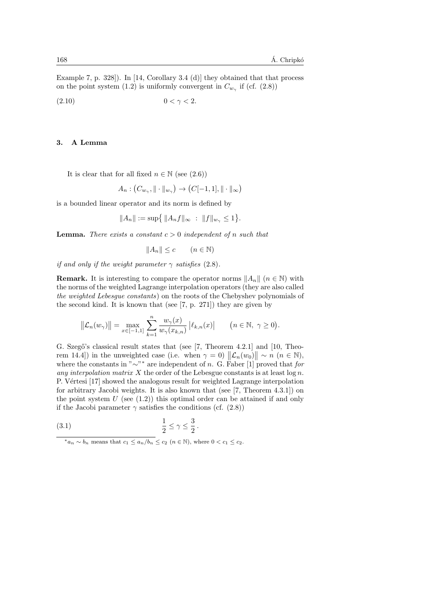Example 7, p. 328]). In [14, Corollary 3.4 (d)] they obtained that that process on the point system (1.2) is uniformly convergent in  $C_{w_{\gamma}}$  if (cf. (2.8))

$$
(2.10) \t\t 0 < \gamma < 2.
$$

#### 3. A Lemma

It is clear that for all fixed  $n \in \mathbb{N}$  (see (2.6))

$$
A_n : (C_{w_\gamma}, \|\cdot\|_{w_\gamma}) \to (C[-1, 1], \|\cdot\|_{\infty})
$$

is a bounded linear operator and its norm is defined by

$$
||A_n|| := \sup \{ ||A_n f||_{\infty} : ||f||_{w_{\gamma}} \le 1 \}.
$$

**Lemma.** There exists a constant  $c > 0$  independent of n such that

$$
||A_n|| \le c \qquad (n \in \mathbb{N})
$$

if and only if the weight parameter  $\gamma$  satisfies (2.8).

**Remark.** It is interesting to compare the operator norms  $||A_n||$  ( $n \in \mathbb{N}$ ) with the norms of the weighted Lagrange interpolation operators (they are also called the weighted Lebesgue constants) on the roots of the Chebyshev polynomials of the second kind. It is known that (see [7, p. 271]) they are given by

$$
\left\|\mathcal{L}_n(w_\gamma)\right\| = \max_{x \in [-1,1]} \sum_{k=1}^n \frac{w_\gamma(x)}{w_\gamma(x_{k,n})} \left|\ell_{k,n}(x)\right| \qquad \big(n \in \mathbb{N}, \ \gamma \ge 0\big).
$$

G. Szegő's classical result states that (see [7, Theorem 4.2.1] and [10, Theorem 14.4]) in the unweighted case (i.e. when  $\gamma = 0$ )  $||\mathcal{L}_n(w_0)|| \sim n \ (n \in \mathbb{N}),$ where the constants in "∼"\* are independent of n. G. Faber [1] proved that for any interpolation matrix X the order of the Lebesgue constants is at least  $\log n$ . P. Vértesi [17] showed the analogous result for weighted Lagrange interpolation for arbitrary Jacobi weights. It is also known that (see [7, Theorem 4.3.1]) on the point system  $U$  (see  $(1.2)$ ) this optimal order can be attained if and only if the Jacobi parameter  $\gamma$  satisfies the conditions (cf. (2.8))

(3.1) 
$$
\frac{1}{2} \le \gamma \le \frac{3}{2}
$$
.

 $*_a_n \sim b_n$  means that  $c_1 \le a_n/b_n \le c_2$   $(n \in \mathbb{N})$ , where  $0 < c_1 \le c_2$ .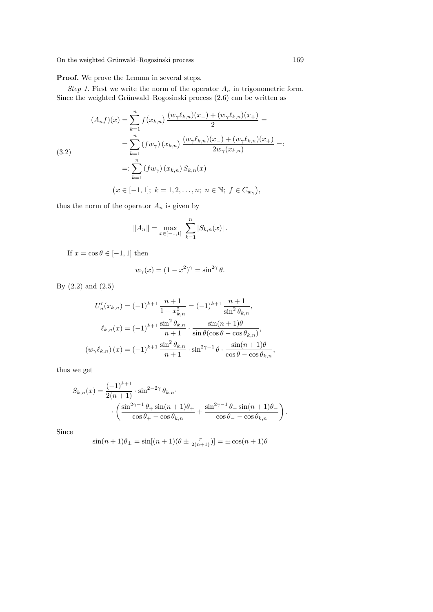Proof. We prove the Lemma in several steps.

Step 1. First we write the norm of the operator  $A_n$  in trigonometric form. Since the weighted Grünwald–Rogosinski process  $(2.6)$  can be written as

$$
(A_n f)(x) = \sum_{k=1}^n f(x_{k,n}) \frac{(w_\gamma \ell_{k,n})(x_-) + (w_\gamma \ell_{k,n})(x_+)}{2} =
$$
  
\n
$$
= \sum_{k=1}^n (f w_\gamma) (x_{k,n}) \frac{(w_\gamma \ell_{k,n})(x_-) + (w_\gamma \ell_{k,n})(x_+)}{2w_\gamma(x_{k,n})} =:
$$
  
\n
$$
=:\sum_{k=1}^n (f w_\gamma) (x_{k,n}) S_{k,n}(x)
$$
  
\n
$$
(x \in [-1,1]; \ k = 1,2,\ldots,n; \ n \in \mathbb{N}; \ f \in C_{w_\gamma}),
$$

thus the norm of the operator  $A_n$  is given by

$$
||A_n|| = \max_{x \in [-1,1]} \sum_{k=1}^n |S_{k,n}(x)|.
$$

If  $x = \cos \theta \in [-1,1]$  then

$$
w_{\gamma}(x) = (1 - x^2)^{\gamma} = \sin^{2\gamma} \theta.
$$

By (2.2) and (2.5)

$$
U'_{n}(x_{k,n}) = (-1)^{k+1} \frac{n+1}{1 - x_{k,n}^{2}} = (-1)^{k+1} \frac{n+1}{\sin^{2} \theta_{k,n}},
$$
  

$$
\ell_{k,n}(x) = (-1)^{k+1} \frac{\sin^{2} \theta_{k,n}}{n+1} \cdot \frac{\sin(n+1)\theta}{\sin \theta(\cos \theta - \cos \theta_{k,n})},
$$
  

$$
(w_{\gamma}\ell_{k,n})(x) = (-1)^{k+1} \frac{\sin^{2} \theta_{k,n}}{n+1} \cdot \sin^{2\gamma-1} \theta \cdot \frac{\sin(n+1)\theta}{\cos \theta - \cos \theta_{k,n}},
$$

thus we get

$$
S_{k,n}(x) = \frac{(-1)^{k+1}}{2(n+1)} \cdot \sin^{2-2\gamma} \theta_{k,n} \cdot \left( \frac{\sin^{2\gamma-1} \theta_+ \sin(n+1) \theta_+}{\cos \theta_+ - \cos \theta_{k,n}} + \frac{\sin^{2\gamma-1} \theta_- \sin(n+1) \theta_-}{\cos \theta_- - \cos \theta_{k,n}} \right).
$$

Since

$$
\sin(n+1)\theta_{\pm} = \sin[(n+1)(\theta \pm \frac{\pi}{2(n+1)})] = \pm \cos((n+1)\theta)
$$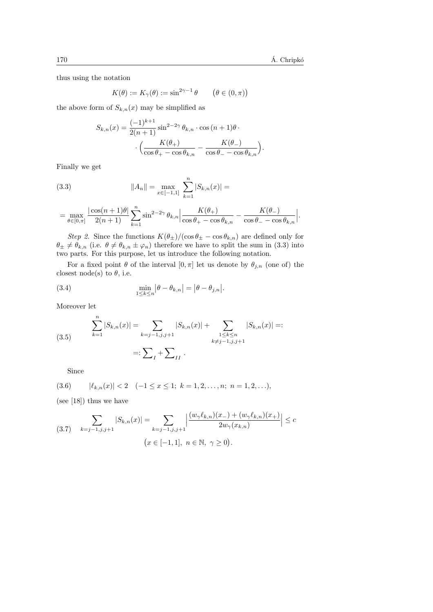thus using the notation

$$
K(\theta) := K_{\gamma}(\theta) := \sin^{2\gamma - 1} \theta \qquad (\theta \in (0, \pi))
$$

the above form of  $S_{k,n}(x)$  may be simplified as

$$
S_{k,n}(x) = \frac{(-1)^{k+1}}{2(n+1)} \sin^{2-2\gamma} \theta_{k,n} \cdot \cos\left((n+1)\theta\right) \cdot \left(\frac{K(\theta_+)}{\cos\theta_+ - \cos\theta_{k,n}} - \frac{K(\theta_-)}{\cos\theta_- - \cos\theta_{k,n}}\right).
$$

Finally we get

(3.3) 
$$
||A_n|| = \max_{x \in [-1,1]} \sum_{k=1}^n |S_{k,n}(x)| =
$$

$$
= \max_{\theta \in [0,\pi]} \frac{|\cos(n+1)\theta|}{2(n+1)} \sum_{k=1}^n \sin^{2-2\gamma} \theta_{k,n} \Big| \frac{K(\theta_+)}{\cos \theta_+ - \cos \theta_{k,n}} - \frac{K(\theta_-)}{\cos \theta_- - \cos \theta_{k,n}} \Big|.
$$

Step 2. Since the functions  $K(\theta_{\pm})/(\cos \theta_{\pm} - \cos \theta_{k,n})$  are defined only for  $\theta_{\pm} \neq \theta_{k,n}$  (i.e.  $\theta \neq \theta_{k,n} \pm \varphi_n$ ) therefore we have to split the sum in (3.3) into two parts. For this purpose, let us introduce the following notation.

For a fixed point  $\theta$  of the interval  $[0, \pi]$  let us denote by  $\theta_{j,n}$  (one of) the closest node(s) to  $\theta$ , i.e.

(3.4) 
$$
\min_{1 \le k \le n} |\theta - \theta_{k,n}| = |\theta - \theta_{j,n}|.
$$

Moreover let

(3.5) 
$$
\sum_{k=1}^{n} |S_{k,n}(x)| = \sum_{k=j-1,j,j+1} |S_{k,n}(x)| + \sum_{\substack{1 \le k \le n \\ k \ne j-1,j,j+1}} |S_{k,n}(x)| =: \sum_{I} + \sum_{II}.
$$

Since

$$
(3.6) \qquad |\ell_{k,n}(x)| < 2 \quad (-1 \le x \le 1; \ k = 1, 2, \dots, n; \ n = 1, 2, \dots),
$$

(see [18]) thus we have

$$
(3.7) \quad\n\sum_{k=j-1,j,j+1} |S_{k,n}(x)| =\n\sum_{k=j-1,j,j+1} \left| \frac{(w_\gamma \ell_{k,n})(x_-) + (w_\gamma \ell_{k,n})(x_+)}{2w_\gamma(x_{k,n})} \right| \leq c\n\leq [n-1,1], \quad n \in \mathbb{N}, \quad \gamma \geq 0).
$$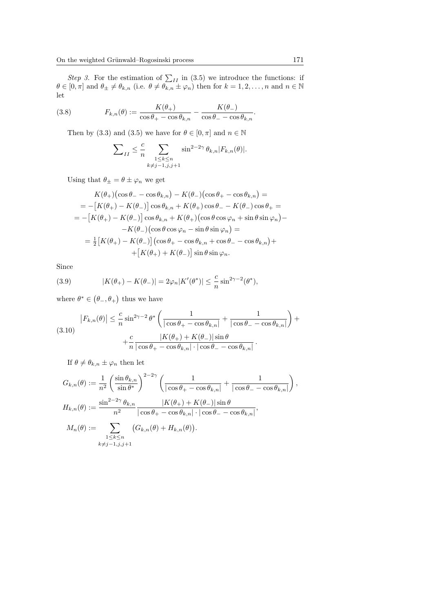Step 3. For the estimation of  $\sum_{II}$  in (3.5) we introduce the functions: if  $\theta \in [0, \pi]$  and  $\theta_{\pm} \neq \theta_{k,n}$  (i.e.  $\theta \neq \theta_{k,n} \pm \varphi_n$ ) then for  $k = 1, 2, \ldots, n$  and  $n \in \mathbb{N}$ let

(3.8) 
$$
F_{k,n}(\theta) := \frac{K(\theta_+)}{\cos \theta_+ - \cos \theta_{k,n}} - \frac{K(\theta_-)}{\cos \theta_- - \cos \theta_{k,n}}.
$$

Then by (3.3) and (3.5) we have for  $\theta \in [0, \pi]$  and  $n \in \mathbb{N}$ 

$$
\sum_{II} \leq \frac{c}{n} \sum_{\substack{1 \leq k \leq n \\ k \neq j-1, j, j+1}} \sin^{2-2\gamma} \theta_{k,n} |F_{k,n}(\theta)|.
$$

Using that  $\theta_{\pm} = \theta \pm \varphi_n$  we get

$$
K(\theta_{+})\left(\cos\theta_{-}-\cos\theta_{k,n}\right)-K(\theta_{-})\left(\cos\theta_{+}-\cos\theta_{k,n}\right)=
$$
  
=  $-\left[K(\theta_{+})-K(\theta_{-})\right]\cos\theta_{k,n}+K(\theta_{+})\cos\theta_{-}-K(\theta_{-})\cos\theta_{+}=$   
=  $-\left[K(\theta_{+})-K(\theta_{-})\right]\cos\theta_{k,n}+K(\theta_{+})\left(\cos\theta\cos\varphi_{n}+\sin\theta\sin\varphi_{n}\right)-$   
 $-K(\theta_{-})\left(\cos\theta\cos\varphi_{n}-\sin\theta\sin\varphi_{n}\right)=$   
=  $\frac{1}{2}\left[K(\theta_{+})-K(\theta_{-})\right]\left(\cos\theta_{+}-\cos\theta_{k,n}+\cos\theta_{-}-\cos\theta_{k,n}\right)+$   
 $+\left[K(\theta_{+})+K(\theta_{-})\right]\sin\theta\sin\varphi_{n}.$ 

Since

(3.9) 
$$
|K(\theta_+) - K(\theta_-)| = 2\varphi_n |K'(\theta^*)| \leq \frac{c}{n} \sin^{2\gamma - 2}(\theta^*),
$$

where  $\theta^* \in (\theta_-, \theta_+)$  thus we have

$$
|F_{k,n}(\theta)| \leq \frac{c}{n} \sin^{2\gamma - 2} \theta^* \left( \frac{1}{|\cos \theta_+ - \cos \theta_{k,n}|} + \frac{1}{|\cos \theta_- - \cos \theta_{k,n}|} \right) + \frac{c}{n} \frac{|K(\theta_+) + K(\theta_-)| \sin \theta}{|\cos \theta_+ - \cos \theta_{k,n}| \cdot |\cos \theta_- - \cos \theta_{k,n}|}.
$$

If  $\theta \neq \theta_{k,n} \pm \varphi_n$  then let

$$
G_{k,n}(\theta) := \frac{1}{n^2} \left( \frac{\sin \theta_{k,n}}{\sin \theta^*} \right)^{2-2\gamma} \left( \frac{1}{|\cos \theta_+ - \cos \theta_{k,n}|} + \frac{1}{|\cos \theta_- - \cos \theta_{k,n}|} \right),
$$
  
\n
$$
H_{k,n}(\theta) := \frac{\sin^{2-2\gamma} \theta_{k,n}}{n^2} \frac{|K(\theta_+) + K(\theta_-)|\sin \theta}{|\cos \theta_+ - \cos \theta_{k,n}| \cdot |\cos \theta_- - \cos \theta_{k,n}|},
$$
  
\n
$$
M_n(\theta) := \sum_{\substack{1 \le k \le n \\ k \ne j-1, j, j+1}} (G_{k,n}(\theta) + H_{k,n}(\theta)).
$$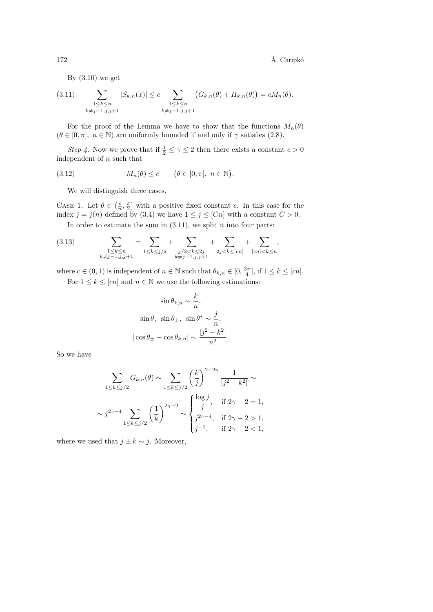By (3.10) we get

$$
(3.11) \qquad \sum_{\substack{1 \leq k \leq n \\ k \neq j-1, j, j+1}} |S_{k,n}(x)| \leq c \sum_{\substack{1 \leq k \leq n \\ k \neq j-1, j, j+1}} (G_{k,n}(\theta) + H_{k,n}(\theta)) = cM_n(\theta).
$$

For the proof of the Lemma we have to show that the functions  $M_n(\theta)$  $(\theta \in [0, \pi], n \in \mathbb{N})$  are uniformly bounded if and only if  $\gamma$  satisfies (2.8).

*Step 4*. Now we prove that if  $\frac{1}{2} \leq \gamma \leq 2$  then there exists a constant  $c > 0$ independent of  $n$  such that

(3.12) 
$$
M_n(\theta) \leq c \qquad (\theta \in [0, \pi], \ n \in \mathbb{N}).
$$

We will distinguish three cases.

CASE 1. Let  $\theta \in (\frac{c}{n}, \frac{\pi}{2}]$  with a positive fixed constant c. In this case for the index  $j = j(n)$  defined by (3.4) we have  $1 \le j \le [Cn]$  with a constant  $C > 0$ .

In order to estimate the sum in (3.11), we split it into four parts:

$$
(3.13) \qquad \qquad \sum_{\substack{1 \leq k \leq n \\ k \neq j-1, \bar{j}, j+1}} = \sum_{1 \leq k \leq j/2} + \sum_{\substack{j/2 < k \leq 2j \\ k \neq j-1, \bar{j}, j+1}} + \sum_{2j < k \leq [cn]} + \sum_{[cn] < k \leq n} ,
$$

where  $c \in (0, 1)$  is independent of  $n \in \mathbb{N}$  such that  $\theta_{k,n} \in [0, \frac{3\pi}{4}]$ , if  $1 \leq k \leq [cn]$ .

For  $1 \leq k \leq [cn]$  and  $n \in \mathbb{N}$  we use the following estimations:

$$
\sin \theta_{k,n} \sim \frac{k}{n},
$$
  
\n
$$
\sin \theta, \quad \sin \theta_{\pm}, \quad \sin \theta^* \sim \frac{j}{n},
$$
  
\n
$$
|\cos \theta_{\pm} - \cos \theta_{k,n}| \sim \frac{|j^2 - k^2|}{n^2}.
$$

So we have

$$
\sum_{1 \le k \le j/2} G_{k,n}(\theta) \sim \sum_{1 \le k \le j/2} \left(\frac{k}{j}\right)^{2-2\gamma} \frac{1}{|j^2 - k^2|} \sim
$$
  

$$
\sim j^{2\gamma - 4} \sum_{1 \le k \le j/2} \left(\frac{1}{k}\right)^{2\gamma - 2} \sim \begin{cases} \frac{\log j}{j}, & \text{if } 2\gamma - 2 = 1, \\ j^{2\gamma - 4}, & \text{if } 2\gamma - 2 > 1, \\ j^{-1}, & \text{if } 2\gamma - 2 < 1, \end{cases}
$$

where we used that  $j \pm k \sim j$ . Moreover,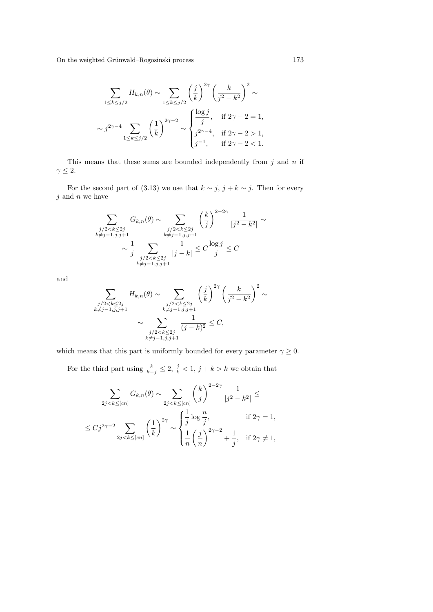$$
\sum_{1 \le k \le j/2} H_{k,n}(\theta) \sim \sum_{1 \le k \le j/2} \left(\frac{j}{k}\right)^{2\gamma} \left(\frac{k}{j^2 - k^2}\right)^2 \sim
$$
  

$$
\sim j^{2\gamma - 4} \sum_{1 \le k \le j/2} \left(\frac{1}{k}\right)^{2\gamma - 2} \sim \begin{cases} \frac{\log j}{j}, & \text{if } 2\gamma - 2 = 1, \\ j^{2\gamma - 4}, & \text{if } 2\gamma - 2 > 1, \\ j^{-1}, & \text{if } 2\gamma - 2 < 1. \end{cases}
$$

This means that these sums are bounded independently from  $j$  and  $n$  if  $\gamma \leq 2$ .

For the second part of (3.13) we use that  $k \sim j$ ,  $j + k \sim j$ . Then for every  $j$  and  $n$  we have

$$
\sum_{\substack{j/2 < k \le 2j \\ k \neq j-1, j, j+1}} G_{k,n}(\theta) \sim \sum_{\substack{j/2 < k \le 2j \\ k \neq j-1, j, j+1}} \left(\frac{k}{j}\right)^{2-2\gamma} \frac{1}{|j^2 - k^2|} \sim \frac{j}{j} \left(\frac{k}{j^2 - k^2}\right)^{2-2\gamma} \frac{1}{|j^2 - k^2|} \sim \frac{1}{j}
$$

and

$$
\sum_{\substack{j/2 < k \le 2j \\ k \ne j-1, j, j+1}} H_{k,n}(\theta) \sim \sum_{\substack{j/2 < k \le 2j \\ k \ne j-1, j, j+1}} \left(\frac{j}{k}\right)^{2\gamma} \left(\frac{k}{j^2 - k^2}\right)^2 \sim
$$
\n
$$
\sim \sum_{\substack{j/2 < k \le 2j \\ k \ne j-1, j, j+1}} \frac{1}{(j-k)^2} \le C,
$$

which means that this part is uniformly bounded for every parameter  $\gamma \geq 0.$ 

For the third part using  $\frac{k}{k-j} \leq 2$ ,  $\frac{j}{k} < 1$ ,  $j + k > k$  we obtain that

$$
\sum_{2j < k \leq [cn]} G_{k,n}(\theta) \sim \sum_{2j < k \leq [cn]} \left(\frac{k}{j}\right)^{2-2\gamma} \frac{1}{|j^2 - k^2|} \leq
$$
\n
$$
\leq Cj^{2\gamma - 2} \sum_{2j < k \leq [cn]} \left(\frac{1}{k}\right)^{2\gamma} \sim \begin{cases} \frac{1}{j} \log \frac{n}{j}, & \text{if } 2\gamma = 1, \\ \frac{1}{n} \left(\frac{j}{n}\right)^{2\gamma - 2} + \frac{1}{j}, & \text{if } 2\gamma \neq 1, \end{cases}
$$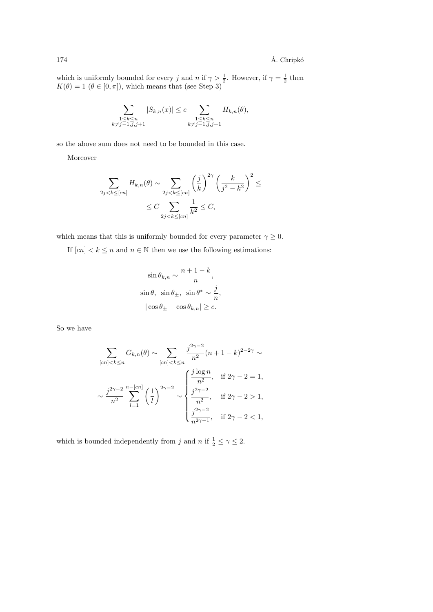which is uniformly bounded for every j and n if  $\gamma > \frac{1}{2}$ . However, if  $\gamma = \frac{1}{2}$  then  $K(\theta) = 1$   $(\theta \in [0, \pi])$ , which means that (see Step 3)

$$
\sum_{\substack{1 \le k \le n \\ k \ne j-1, j, j+1}} |S_{k,n}(x)| \le c \sum_{\substack{1 \le k \le n \\ k \ne j-1, j, j+1}} H_{k,n}(\theta),
$$

so the above sum does not need to be bounded in this case.

Moreover

$$
\sum_{2j < k \leq [cn]} H_{k,n}(\theta) \sim \sum_{2j < k \leq [cn]} \left(\frac{j}{k}\right)^{2\gamma} \left(\frac{k}{j^2 - k^2}\right)^2 \leq
$$
\n
$$
\leq C \sum_{2j < k \leq [cn]} \frac{1}{k^2} \leq C,
$$

which means that this is uniformly bounded for every parameter  $\gamma \geq 0$ .

If  $[cn] < k \leq n$  and  $n \in \mathbb{N}$  then we use the following estimations:

$$
\sin \theta_{k,n} \sim \frac{n+1-k}{n},
$$
  
\n
$$
\sin \theta, \quad \sin \theta_{\pm}, \quad \sin \theta^* \sim \frac{j}{n},
$$
  
\n
$$
|\cos \theta_{\pm} - \cos \theta_{k,n}| \ge c.
$$

So we have

$$
\sum_{[cn]  

$$
\sim \frac{j^{2\gamma-2}}{n^2} \sum_{l=1}^{n-[cn]} \left(\frac{1}{l}\right)^{2\gamma-2} \sim \begin{cases} \frac{j\log n}{n^2}, & \text{if } 2\gamma-2=1, \\ \frac{j^{2\gamma-2}}{n^2}, & \text{if } 2\gamma-2>1, \\ \frac{j^{2\gamma-2}}{n^{2\gamma-1}}, & \text{if } 2\gamma-2<1, \end{cases}
$$
$$

which is bounded independently from j and n if  $\frac{1}{2} \leq \gamma \leq 2$ .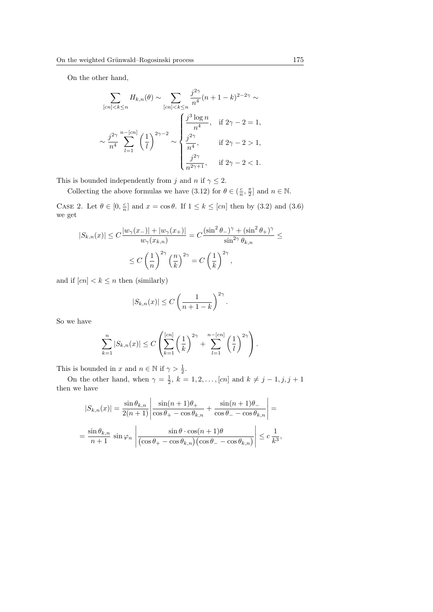On the other hand,

$$
\sum_{[cn] < k \le n} H_{k,n}(\theta) \sim \sum_{[cn] < k \le n} \frac{j^{2\gamma}}{n^4} (n+1-k)^{2-2\gamma} \sim
$$
\n
$$
\sim \frac{j^{2\gamma}}{n^4} \sum_{l=1}^{n-[cn]} \left(\frac{1}{l}\right)^{2\gamma-2} \sim \begin{cases} \frac{j^3 \log n}{n^4}, & \text{if } 2\gamma - 2 = 1, \\ \frac{j^{2\gamma}}{n^4}, & \text{if } 2\gamma - 2 > 1, \\ \frac{j^{2\gamma}}{n^{2\gamma+1}}, & \text{if } 2\gamma - 2 < 1. \end{cases}
$$

This is bounded independently from j and n if  $\gamma \leq 2$ .

Collecting the above formulas we have (3.12) for  $\theta \in (\frac{c}{n}, \frac{\pi}{2}]$  and  $n \in \mathbb{N}$ .

CASE 2. Let  $\theta \in [0, \frac{c}{n}]$  and  $x = \cos \theta$ . If  $1 \leq k \leq [cn]$  then by (3.2) and (3.6) we get

$$
|S_{k,n}(x)| \le C \frac{|w_\gamma(x_-)| + |w_\gamma(x_+)|}{w_\gamma(x_{k,n})} = C \frac{(\sin^2 \theta_-)^\gamma + (\sin^2 \theta_+)^\gamma}{\sin^{2\gamma} \theta_{k,n}} \le
$$
  

$$
\le C \left(\frac{1}{n}\right)^{2\gamma} \left(\frac{n}{k}\right)^{2\gamma} = C \left(\frac{1}{k}\right)^{2\gamma},
$$

and if  $[cn] < k \leq n$  then (similarly)

$$
|S_{k,n}(x)| \leq C \left(\frac{1}{n+1-k}\right)^{2\gamma}.
$$

So we have

$$
\sum_{k=1}^n |S_{k,n}(x)| \le C \left( \sum_{k=1}^{[cn]} \left( \frac{1}{k} \right)^{2\gamma} + \sum_{l=1}^{n-[cn]} \left( \frac{1}{l} \right)^{2\gamma} \right).
$$

This is bounded in x and  $n \in \mathbb{N}$  if  $\gamma > \frac{1}{2}$ .

On the other hand, when  $\gamma = \frac{1}{2}$ ,  $k = 1, 2, \ldots, [cn]$  and  $k \neq j - 1, j, j + 1$ then we have

$$
|S_{k,n}(x)| = \frac{\sin \theta_{k,n}}{2(n+1)} \left| \frac{\sin(n+1)\theta_+}{\cos \theta_+ - \cos \theta_{k,n}} + \frac{\sin(n+1)\theta_-}{\cos \theta_- - \cos \theta_{k,n}} \right| =
$$
  
= 
$$
\frac{\sin \theta_{k,n}}{n+1} \sin \varphi_n \left| \frac{\sin \theta \cdot \cos(n+1)\theta}{(\cos \theta_+ - \cos \theta_{k,n})(\cos \theta_- - \cos \theta_{k,n})} \right| \leq c \frac{1}{k^3},
$$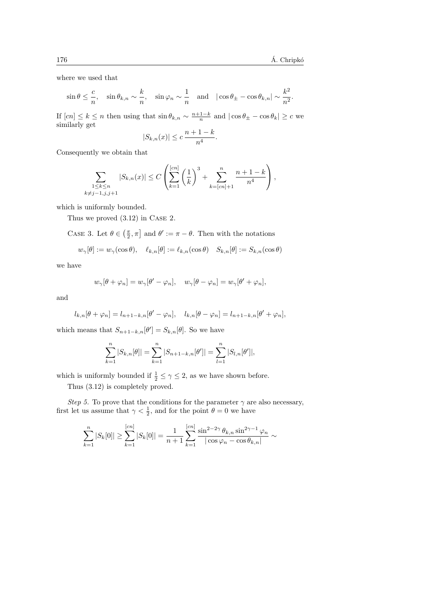.

where we used that

$$
\sin \theta \le \frac{c}{n}, \quad \sin \theta_{k,n} \sim \frac{k}{n}, \quad \sin \varphi_n \sim \frac{1}{n} \quad \text{and} \quad |\cos \theta_{\pm} - \cos \theta_{k,n}| \sim \frac{k^2}{n^2}
$$

If  $[cn] \leq k \leq n$  then using that  $\sin \theta_{k,n} \sim \frac{n+1-k}{n}$  and  $|\cos \theta_{\pm} - \cos \theta_k| \geq c$  we similarly get

$$
|S_{k,n}(x)| \leq c \, \frac{n+1-k}{n^4}.
$$

Consequently we obtain that

$$
\sum_{\substack{1 \leq k \leq n \\ k \neq j-1, j, j+1}} |S_{k,n}(x)| \leq C \left( \sum_{k=1}^{[cn]} \left( \frac{1}{k} \right)^3 + \sum_{k=[cn]+1}^n \frac{n+1-k}{n^4} \right),
$$

which is uniformly bounded.

Thus we proved (3.12) in Case 2.

CASE 3. Let  $\theta \in (\frac{\pi}{2}, \pi]$  and  $\theta' := \pi - \theta$ . Then with the notations

$$
w_{\gamma}[\theta] := w_{\gamma}(\cos \theta), \quad \ell_{k,n}[\theta] := \ell_{k,n}(\cos \theta) \quad S_{k,n}[\theta] := S_{k,n}(\cos \theta)
$$

we have

$$
w_{\gamma}[\theta + \varphi_n] = w_{\gamma}[\theta' - \varphi_n], \quad w_{\gamma}[\theta - \varphi_n] = w_{\gamma}[\theta' + \varphi_n],
$$

and

$$
l_{k,n}[\theta+\varphi_n]=l_{n+1-k,n}[\theta'-\varphi_n], \quad l_{k,n}[\theta-\varphi_n]=l_{n+1-k,n}[\theta'+\varphi_n],
$$

which means that  $S_{n+1-k,n}[\theta'] = S_{k,n}[\theta]$ . So we have

$$
\sum_{k=1}^{n} |S_{k,n}[\theta]| = \sum_{k=1}^{n} |S_{n+1-k,n}[\theta']| = \sum_{l=1}^{n} |S_{l,n}[\theta']|,
$$

which is uniformly bounded if  $\frac{1}{2} \leq \gamma \leq 2$ , as we have shown before.

Thus (3.12) is completely proved.

Step 5. To prove that the conditions for the parameter  $\gamma$  are also necessary, first let us assume that  $\gamma < \frac{1}{2}$ , and for the point  $\theta = 0$  we have

$$
\sum_{k=1}^{n} |S_k[0]| \geq \sum_{k=1}^{[cn]} |S_k[0]| = \frac{1}{n+1} \sum_{k=1}^{[cn]} \frac{\sin^{2-2\gamma} \theta_{k,n} \sin^{2\gamma-1} \varphi_n}{|\cos \varphi_n - \cos \theta_{k,n}|} \sim
$$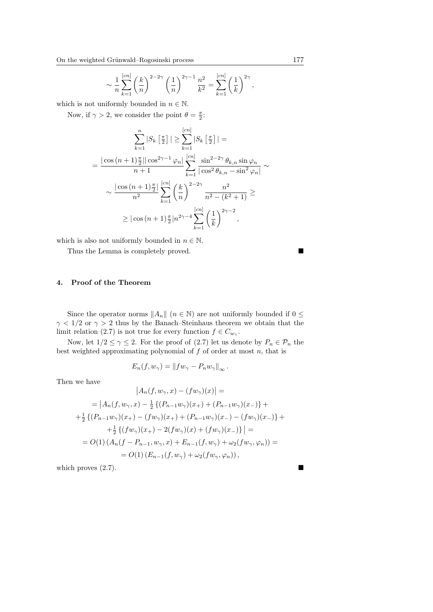$$
\sim \frac{1}{n} \sum_{k=1}^{[cn]} \left(\frac{k}{n}\right)^{2-2\gamma} \left(\frac{1}{n}\right)^{2\gamma-1} \frac{n^2}{k^2} = \sum_{k=1}^{[cn]} \left(\frac{1}{k}\right)^{2\gamma},
$$

which is not uniformly bounded in  $n \in \mathbb{N}$ .

Now, if  $\gamma > 2$ , we consider the point  $\theta = \frac{\pi}{2}$ :

$$
\sum_{k=1}^{n} |S_k \left[ \frac{\pi}{2} \right]| \geq \sum_{k=1}^{[cn]} |S_k \left[ \frac{\pi}{2} \right]| =
$$
  
= 
$$
\frac{|\cos(n+1)\frac{\pi}{2}| |\cos^{2\gamma-1} \varphi_n|}{n+1} \sum_{k=1}^{[cn]} \frac{\sin^{2-2\gamma} \theta_{k,n} \sin \varphi_n}{|\cos^2 \theta_{k,n} - \sin^2 \varphi_n|} \sim
$$
  

$$
\sim \frac{|\cos(n+1)\frac{\pi}{2}|}{n^2} \sum_{k=1}^{[cn]} \left(\frac{k}{n}\right)^{2-2\gamma} \frac{n^2}{n^2 - (k^2 + 1)} \geq
$$
  

$$
\geq |\cos(n+1)\frac{\pi}{2}| n^{2\gamma-4} \sum_{k=1}^{[cn]} \left(\frac{1}{k}\right)^{2\gamma-2},
$$

which is also not uniformly bounded in  $n \in \mathbb{N}$ .

Thus the Lemma is completely proved.

## 4. Proof of the Theorem

Since the operator norms  $||A_n||$  ( $n \in \mathbb{N}$ ) are not uniformly bounded if  $0 \leq$  $\gamma$  < 1/2 or  $\gamma > 2$  thus by the Banach–Steinhaus theorem we obtain that the limit relation (2.7) is not true for every function  $f \in C_{w_\gamma}$ .

Now, let  $1/2 \leq \gamma \leq 2$ . For the proof of (2.7) let us denote by  $P_n \in \mathcal{P}_n$  the best weighted approximating polynomial of  $f$  of order at most  $n$ , that is

$$
E_n(f, w_\gamma) = ||fw_\gamma - P_n w_\gamma||_\infty.
$$

Then we have

$$
\begin{aligned}\n\left| A_n(f, w_\gamma, x) - (f w_\gamma)(x) \right| &= \\
&= \left| A_n(f, w_\gamma, x) - \frac{1}{2} \left\{ (P_{n-1} w_\gamma)(x_+) + (P_{n-1} w_\gamma)(x_-) \right\} + \right. \\
&+ \frac{1}{2} \left\{ (P_{n-1} w_\gamma)(x_+) - (f w_\gamma)(x_+) + (P_{n-1} w_\gamma)(x_-) - (f w_\gamma)(x_-) \right\} + \right. \\
&\left. + \frac{1}{2} \left\{ (f w_\gamma)(x_+) - 2(f w_\gamma)(x) + (f w_\gamma)(x_-) \right\} \right| = \\
&= O(1) \left( A_n(f - P_{n-1}, w_\gamma, x) + E_{n-1}(f, w_\gamma) + \omega_2(f w_\gamma, \varphi_n) \right) = \\
&= O(1) \left( E_{n-1}(f, w_\gamma) + \omega_2(f w_\gamma, \varphi_n) \right),\n\end{aligned}
$$

which proves  $(2.7)$ .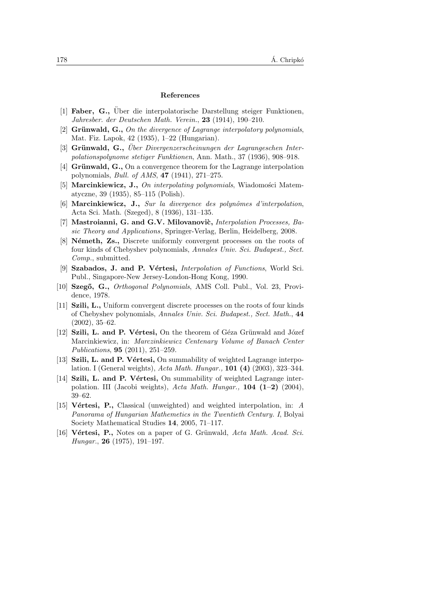#### References

- [1] Faber, G., Über die interpolatorische Darstellung steiger Funktionen, Jahresber. der Deutschen Math. Verein., 23 (1914), 190–210.
- [2] Grünwald, G., On the divergence of Lagrange interpolatory polynomials, Mat. Fiz. Lapok, 42 (1935), 1–22 (Hungarian).
- $[3]$  Grünwald, G., Über Divergenzerscheinungen der Lagrangeschen Interpolationspolynome stetiger Funktionen, Ann. Math., 37 (1936), 908–918.
- [4] Grünwald, G., On a convergence theorem for the Lagrange interpolation polynomials, Bull. of AMS, 47 (1941), 271–275.
- [5] **Marcinkiewicz, J.,** On interpolating polynomials, Wiadomości Matematyczne, 39 (1935), 85–115 (Polish).
- $[6]$  Marcinkiewicz, J., Sur la divergence des polynômes d'interpolation. Acta Sci. Math. (Szeged), 8 (1936), 131–135.
- [7] Mastroianni, G. and G.V. Milovanovic, *Interpolation Processes*, Basic Theory and Applications, Springer-Verlag, Berlin, Heidelberg, 2008.
- [8] **Németh, Zs.,** Discrete uniformly convergent processes on the roots of four kinds of Chebyshev polynomials, Annales Univ. Sci. Budapest., Sect. Comp., submitted.
- [9] Szabados, J. and P. Vértesi, *Interpolation of Functions*, World Sci. Publ., Singapore-New Jersey-London-Hong Kong, 1990.
- [10] Szegő, G., Orthogonal Polynomials, AMS Coll. Publ., Vol. 23, Providence, 1978.
- [11] Szili, L., Uniform convergent discrete processes on the roots of four kinds of Chebyshev polynomials, Annales Univ. Sci. Budapest., Sect. Math., 44 (2002), 35–62.
- [12] Szili, L. and P. Vértesi, On the theorem of Géza Grünwald and Józef Marcinkiewicz, in: Marczinkiewicz Centenary Volume of Banach Center Publications, 95 (2011), 251–259.
- [13] Szili, L. and P. Vértesi, On summability of weighted Lagrange interpolation. I (General weights), Acta Math. Hungar., 101 (4) (2003), 323–344.
- [14] Szili, L. and P. Vértesi, On summability of weighted Lagrange interpolation. III (Jacobi weights), Acta Math. Hungar.,  $104$  (1–2) (2004), 39–62.
- [15] **Vértesi, P.,** Classical (unweighted) and weighted interpolation, in: A Panorama of Hungarian Mathemetics in the Twentieth Century. I, Bolyai Society Mathematical Studies 14, 2005, 71–117.
- [16] Vértesi, P., Notes on a paper of G. Grünwald, Acta Math. Acad. Sci. Hungar., 26 (1975), 191–197.